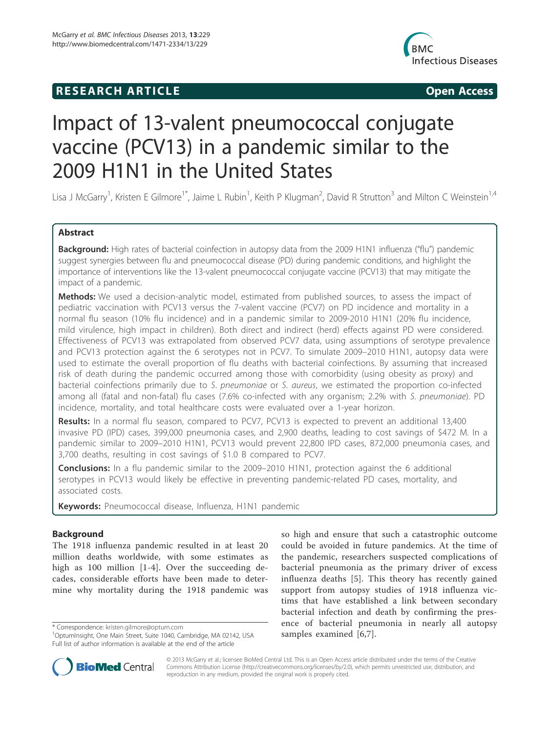## **RESEARCH ARTICLE Example 2014 12:30 The SEAR CHA RESEARCH ARTICLE**



# Impact of 13-valent pneumococcal conjugate vaccine (PCV13) in a pandemic similar to the 2009 H1N1 in the United States

Lisa J McGarry<sup>1</sup>, Kristen E Gilmore<sup>1\*</sup>, Jaime L Rubin<sup>1</sup>, Keith P Klugman<sup>2</sup>, David R Strutton<sup>3</sup> and Milton C Weinstein<sup>1,4</sup>

## Abstract

Background: High rates of bacterial coinfection in autopsy data from the 2009 H1N1 influenza ("flu") pandemic suggest synergies between flu and pneumococcal disease (PD) during pandemic conditions, and highlight the importance of interventions like the 13-valent pneumococcal conjugate vaccine (PCV13) that may mitigate the impact of a pandemic.

Methods: We used a decision-analytic model, estimated from published sources, to assess the impact of pediatric vaccination with PCV13 versus the 7-valent vaccine (PCV7) on PD incidence and mortality in a normal flu season (10% flu incidence) and in a pandemic similar to 2009-2010 H1N1 (20% flu incidence, mild virulence, high impact in children). Both direct and indirect (herd) effects against PD were considered. Effectiveness of PCV13 was extrapolated from observed PCV7 data, using assumptions of serotype prevalence and PCV13 protection against the 6 serotypes not in PCV7. To simulate 2009–2010 H1N1, autopsy data were used to estimate the overall proportion of flu deaths with bacterial coinfections. By assuming that increased risk of death during the pandemic occurred among those with comorbidity (using obesity as proxy) and bacterial coinfections primarily due to S. pneumoniae or S. aureus, we estimated the proportion co-infected among all (fatal and non-fatal) flu cases (7.6% co-infected with any organism; 2.2% with S. pneumoniae). PD incidence, mortality, and total healthcare costs were evaluated over a 1-year horizon.

Results: In a normal flu season, compared to PCV7, PCV13 is expected to prevent an additional 13,400 invasive PD (IPD) cases, 399,000 pneumonia cases, and 2,900 deaths, leading to cost savings of \$472 M. In a pandemic similar to 2009–2010 H1N1, PCV13 would prevent 22,800 IPD cases, 872,000 pneumonia cases, and 3,700 deaths, resulting in cost savings of \$1.0 B compared to PCV7.

Conclusions: In a flu pandemic similar to the 2009–2010 H1N1, protection against the 6 additional serotypes in PCV13 would likely be effective in preventing pandemic-related PD cases, mortality, and associated costs.

Keywords: Pneumococcal disease, Influenza, H1N1 pandemic

## Background

The 1918 influenza pandemic resulted in at least 20 million deaths worldwide, with some estimates as high as 100 million [1-4]. Over the succeeding decades, considerable efforts have been made to determine why mortality during the 1918 pandemic was

so high and ensure that such a catastrophic outcome could be avoided in future pandemics. At the time of the pandemic, researchers suspected complications of bacterial pneumonia as the primary driver of excess influenza deaths [5]. This theory has recently gained support from autopsy studies of 1918 influenza victims that have established a link between secondary bacterial infection and death by confirming the presence of bacterial pneumonia in nearly all autopsy



© 2013 McGarry et al.; licensee BioMed Central Ltd. This is an Open Access article distributed under the terms of the Creative Commons Attribution License (http://creativecommons.org/licenses/by/2.0), which permits unrestricted use, distribution, and reproduction in any medium, provided the original work is properly cited.

<sup>\*</sup> Correspondence: kristen.gilmore@optum.com 1988. examined the Correspondence: kristen.gilmore@optum.com 1998.<br>InpumInsight, One Main Street, Suite 1040, Cambridge, MA 02142, USA 1998 samples examined [6,7]. Full list of author information is available at the end of the article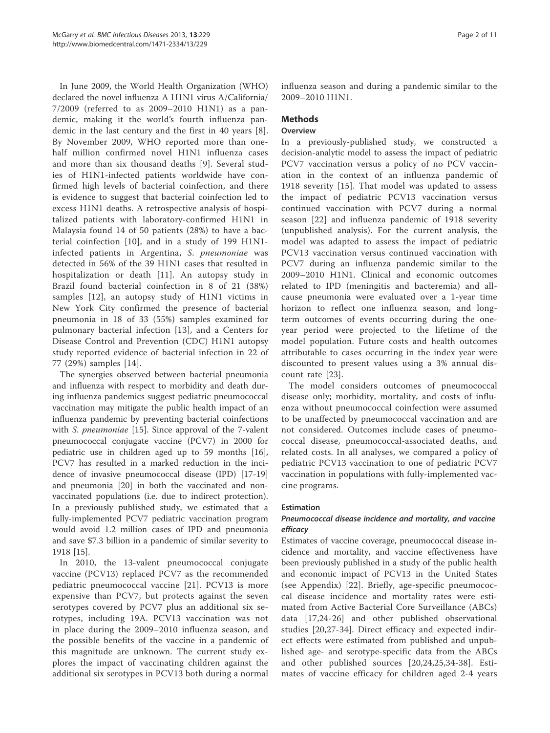In June 2009, the World Health Organization (WHO) declared the novel influenza A H1N1 virus A/California/ 7/2009 (referred to as 2009–2010 H1N1) as a pandemic, making it the world's fourth influenza pandemic in the last century and the first in 40 years [8]. By November 2009, WHO reported more than onehalf million confirmed novel H1N1 influenza cases and more than six thousand deaths [9]. Several studies of H1N1-infected patients worldwide have confirmed high levels of bacterial coinfection, and there is evidence to suggest that bacterial coinfection led to excess H1N1 deaths. A retrospective analysis of hospitalized patients with laboratory-confirmed H1N1 in Malaysia found 14 of 50 patients (28%) to have a bacterial coinfection [10], and in a study of 199 H1N1 infected patients in Argentina, S. pneumoniae was detected in 56% of the 39 H1N1 cases that resulted in hospitalization or death [11]. An autopsy study in Brazil found bacterial coinfection in 8 of 21 (38%) samples [12], an autopsy study of H1N1 victims in New York City confirmed the presence of bacterial pneumonia in 18 of 33 (55%) samples examined for pulmonary bacterial infection [13], and a Centers for Disease Control and Prevention (CDC) H1N1 autopsy study reported evidence of bacterial infection in 22 of 77 (29%) samples [14].

The synergies observed between bacterial pneumonia and influenza with respect to morbidity and death during influenza pandemics suggest pediatric pneumococcal vaccination may mitigate the public health impact of an influenza pandemic by preventing bacterial coinfections with S. pneumoniae [15]. Since approval of the 7-valent pneumococcal conjugate vaccine (PCV7) in 2000 for pediatric use in children aged up to 59 months [16], PCV7 has resulted in a marked reduction in the incidence of invasive pneumococcal disease (IPD) [17-19] and pneumonia [20] in both the vaccinated and nonvaccinated populations (i.e. due to indirect protection). In a previously published study, we estimated that a fully-implemented PCV7 pediatric vaccination program would avoid 1.2 million cases of IPD and pneumonia and save \$7.3 billion in a pandemic of similar severity to 1918 [15].

In 2010, the 13-valent pneumococcal conjugate vaccine (PCV13) replaced PCV7 as the recommended pediatric pneumococcal vaccine [21]. PCV13 is more expensive than PCV7, but protects against the seven serotypes covered by PCV7 plus an additional six serotypes, including 19A. PCV13 vaccination was not in place during the 2009–2010 influenza season, and the possible benefits of the vaccine in a pandemic of this magnitude are unknown. The current study explores the impact of vaccinating children against the additional six serotypes in PCV13 both during a normal influenza season and during a pandemic similar to the 2009–2010 H1N1.

## **Methods**

## **Overview**

In a previously-published study, we constructed a decision-analytic model to assess the impact of pediatric PCV7 vaccination versus a policy of no PCV vaccination in the context of an influenza pandemic of 1918 severity [15]. That model was updated to assess the impact of pediatric PCV13 vaccination versus continued vaccination with PCV7 during a normal season [22] and influenza pandemic of 1918 severity (unpublished analysis). For the current analysis, the model was adapted to assess the impact of pediatric PCV13 vaccination versus continued vaccination with PCV7 during an influenza pandemic similar to the 2009–2010 H1N1. Clinical and economic outcomes related to IPD (meningitis and bacteremia) and allcause pneumonia were evaluated over a 1-year time horizon to reflect one influenza season, and longterm outcomes of events occurring during the oneyear period were projected to the lifetime of the model population. Future costs and health outcomes attributable to cases occurring in the index year were discounted to present values using a 3% annual discount rate [23].

The model considers outcomes of pneumococcal disease only; morbidity, mortality, and costs of influenza without pneumococcal coinfection were assumed to be unaffected by pneumococcal vaccination and are not considered. Outcomes include cases of pneumococcal disease, pneumococcal-associated deaths, and related costs. In all analyses, we compared a policy of pediatric PCV13 vaccination to one of pediatric PCV7 vaccination in populations with fully-implemented vaccine programs.

## Estimation

## Pneumococcal disease incidence and mortality, and vaccine efficacy

Estimates of vaccine coverage, pneumococcal disease incidence and mortality, and vaccine effectiveness have been previously published in a study of the public health and economic impact of PCV13 in the United States (see Appendix) [22]. Briefly, age-specific pneumococcal disease incidence and mortality rates were estimated from Active Bacterial Core Surveillance (ABCs) data [17,24-26] and other published observational studies [20,27-34]. Direct efficacy and expected indirect effects were estimated from published and unpublished age- and serotype-specific data from the ABCs and other published sources [20,24,25,34-38]. Estimates of vaccine efficacy for children aged 2-4 years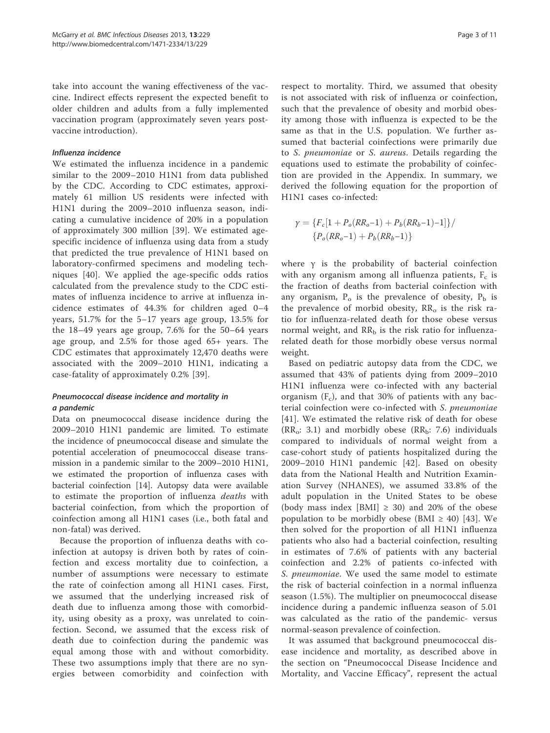take into account the waning effectiveness of the vaccine. Indirect effects represent the expected benefit to older children and adults from a fully implemented vaccination program (approximately seven years postvaccine introduction).

## Influenza incidence

We estimated the influenza incidence in a pandemic similar to the 2009–2010 H1N1 from data published by the CDC. According to CDC estimates, approximately 61 million US residents were infected with H1N1 during the 2009–2010 influenza season, indicating a cumulative incidence of 20% in a population of approximately 300 million [39]. We estimated agespecific incidence of influenza using data from a study that predicted the true prevalence of H1N1 based on laboratory-confirmed specimens and modeling techniques [40]. We applied the age-specific odds ratios calculated from the prevalence study to the CDC estimates of influenza incidence to arrive at influenza incidence estimates of 44.3% for children aged 0–4 years, 51.7% for the 5–17 years age group, 13.5% for the 18–49 years age group, 7.6% for the 50–64 years age group, and 2.5% for those aged 65+ years. The CDC estimates that approximately 12,470 deaths were associated with the 2009–2010 H1N1, indicating a case-fatality of approximately 0.2% [39].

## Pneumococcal disease incidence and mortality in a pandemic

Data on pneumococcal disease incidence during the 2009–2010 H1N1 pandemic are limited. To estimate the incidence of pneumococcal disease and simulate the potential acceleration of pneumococcal disease transmission in a pandemic similar to the 2009–2010 H1N1, we estimated the proportion of influenza cases with bacterial coinfection [14]. Autopsy data were available to estimate the proportion of influenza deaths with bacterial coinfection, from which the proportion of coinfection among all H1N1 cases (i.e., both fatal and non-fatal) was derived.

Because the proportion of influenza deaths with coinfection at autopsy is driven both by rates of coinfection and excess mortality due to coinfection, a number of assumptions were necessary to estimate the rate of coinfection among all H1N1 cases. First, we assumed that the underlying increased risk of death due to influenza among those with comorbidity, using obesity as a proxy, was unrelated to coinfection. Second, we assumed that the excess risk of death due to coinfection during the pandemic was equal among those with and without comorbidity. These two assumptions imply that there are no synergies between comorbidity and coinfection with

respect to mortality. Third, we assumed that obesity is not associated with risk of influenza or coinfection, such that the prevalence of obesity and morbid obesity among those with influenza is expected to be the same as that in the U.S. population. We further assumed that bacterial coinfections were primarily due to S. pneumoniae or S. aureus. Details regarding the equations used to estimate the probability of coinfection are provided in the Appendix. In summary, we derived the following equation for the proportion of H1N1 cases co-infected:

$$
\gamma = \{F_c[1 + P_o(RR_o - 1) + P_b(RR_b - 1) - 1]\}/
$$

$$
\{P_o(RR_o - 1) + P_b(RR_b - 1)\}
$$

where γ is the probability of bacterial coinfection with any organism among all influenza patients,  $F_c$  is the fraction of deaths from bacterial coinfection with any organism,  $P_0$  is the prevalence of obesity,  $P_b$  is the prevalence of morbid obesity,  $RR_0$  is the risk ratio for influenza-related death for those obese versus normal weight, and  $RR_b$  is the risk ratio for influenzarelated death for those morbidly obese versus normal weight.

Based on pediatric autopsy data from the CDC, we assumed that 43% of patients dying from 2009–2010 H1N1 influenza were co-infected with any bacterial organism  $(F_c)$ , and that 30% of patients with any bacterial coinfection were co-infected with S. pneumoniae [41]. We estimated the relative risk of death for obese  $(RR_0: 3.1)$  and morbidly obese  $(RR_b: 7.6)$  individuals compared to individuals of normal weight from a case-cohort study of patients hospitalized during the 2009–2010 H1N1 pandemic [42]. Based on obesity data from the National Health and Nutrition Examination Survey (NHANES), we assumed 33.8% of the adult population in the United States to be obese (body mass index [BMI]  $\geq$  30) and 20% of the obese population to be morbidly obese (BMI  $\geq$  40) [43]. We then solved for the proportion of all H1N1 influenza patients who also had a bacterial coinfection, resulting in estimates of 7.6% of patients with any bacterial coinfection and 2.2% of patients co-infected with S. *pneumoniae*. We used the same model to estimate the risk of bacterial coinfection in a normal influenza season (1.5%). The multiplier on pneumococcal disease incidence during a pandemic influenza season of 5.01 was calculated as the ratio of the pandemic- versus normal-season prevalence of coinfection.

It was assumed that background pneumococcal disease incidence and mortality, as described above in the section on "Pneumococcal Disease Incidence and Mortality, and Vaccine Efficacy", represent the actual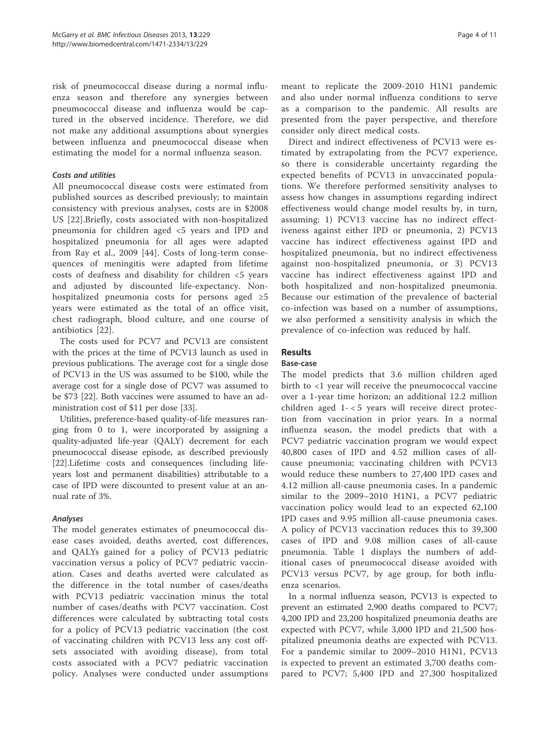risk of pneumococcal disease during a normal influenza season and therefore any synergies between pneumococcal disease and influenza would be captured in the observed incidence. Therefore, we did not make any additional assumptions about synergies between influenza and pneumococcal disease when estimating the model for a normal influenza season.

## Costs and utilities

All pneumococcal disease costs were estimated from published sources as described previously; to maintain consistency with previous analyses, costs are in \$2008 US [22].Briefly, costs associated with non-hospitalized pneumonia for children aged <5 years and IPD and hospitalized pneumonia for all ages were adapted from Ray et al., 2009 [44]. Costs of long-term consequences of meningitis were adapted from lifetime costs of deafness and disability for children <5 years and adjusted by discounted life-expectancy. Nonhospitalized pneumonia costs for persons aged ≥5 years were estimated as the total of an office visit, chest radiograph, blood culture, and one course of antibiotics [22].

The costs used for PCV7 and PCV13 are consistent with the prices at the time of PCV13 launch as used in previous publications. The average cost for a single dose of PCV13 in the US was assumed to be \$100, while the average cost for a single dose of PCV7 was assumed to be \$73 [22]. Both vaccines were assumed to have an administration cost of \$11 per dose [33].

Utilities, preference-based quality-of-life measures ranging from 0 to 1, were incorporated by assigning a quality-adjusted life-year (QALY) decrement for each pneumococcal disease episode, as described previously [22].Lifetime costs and consequences (including lifeyears lost and permanent disabilities) attributable to a case of IPD were discounted to present value at an annual rate of 3%.

## Analyses

The model generates estimates of pneumococcal disease cases avoided, deaths averted, cost differences, and QALYs gained for a policy of PCV13 pediatric vaccination versus a policy of PCV7 pediatric vaccination. Cases and deaths averted were calculated as the difference in the total number of cases/deaths with PCV13 pediatric vaccination minus the total number of cases/deaths with PCV7 vaccination. Cost differences were calculated by subtracting total costs for a policy of PCV13 pediatric vaccination (the cost of vaccinating children with PCV13 less any cost offsets associated with avoiding disease), from total costs associated with a PCV7 pediatric vaccination policy. Analyses were conducted under assumptions

meant to replicate the 2009-2010 H1N1 pandemic and also under normal influenza conditions to serve as a comparison to the pandemic. All results are presented from the payer perspective, and therefore consider only direct medical costs.

Direct and indirect effectiveness of PCV13 were estimated by extrapolating from the PCV7 experience, so there is considerable uncertainty regarding the expected benefits of PCV13 in unvaccinated populations. We therefore performed sensitivity analyses to assess how changes in assumptions regarding indirect effectiveness would change model results by, in turn, assuming: 1) PCV13 vaccine has no indirect effectiveness against either IPD or pneumonia, 2) PCV13 vaccine has indirect effectiveness against IPD and hospitalized pneumonia, but no indirect effectiveness against non-hospitalized pneumonia, or 3) PCV13 vaccine has indirect effectiveness against IPD and both hospitalized and non-hospitalized pneumonia. Because our estimation of the prevalence of bacterial co-infection was based on a number of assumptions, we also performed a sensitivity analysis in which the prevalence of co-infection was reduced by half.

## Results

## Base-case

The model predicts that 3.6 million children aged birth to <1 year will receive the pneumococcal vaccine over a 1-year time horizon; an additional 12.2 million children aged 1- < 5 years will receive direct protection from vaccination in prior years. In a normal influenza season, the model predicts that with a PCV7 pediatric vaccination program we would expect 40,800 cases of IPD and 4.52 million cases of allcause pneumonia; vaccinating children with PCV13 would reduce these numbers to 27,400 IPD cases and 4.12 million all-cause pneumonia cases. In a pandemic similar to the 2009–2010 H1N1, a PCV7 pediatric vaccination policy would lead to an expected 62,100 IPD cases and 9.95 million all-cause pneumonia cases. A policy of PCV13 vaccination reduces this to 39,300 cases of IPD and 9.08 million cases of all-cause pneumonia. Table 1 displays the numbers of additional cases of pneumococcal disease avoided with PCV13 versus PCV7, by age group, for both influenza scenarios.

In a normal influenza season, PCV13 is expected to prevent an estimated 2,900 deaths compared to PCV7; 4,200 IPD and 23,200 hospitalized pneumonia deaths are expected with PCV7, while 3,000 IPD and 21,500 hospitalized pneumonia deaths are expected with PCV13. For a pandemic similar to 2009–2010 H1N1, PCV13 is expected to prevent an estimated 3,700 deaths compared to PCV7; 5,400 IPD and 27,300 hospitalized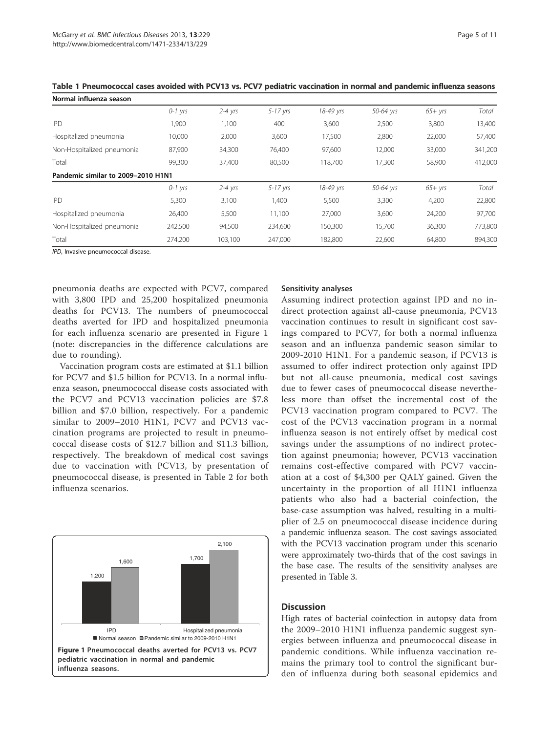| Normal influenza season            |           |             |              |           |           |           |         |
|------------------------------------|-----------|-------------|--------------|-----------|-----------|-----------|---------|
|                                    | $O-1$ yrs | $2 - 4$ yrs | $5 - 17$ yrs | 18-49 yrs | 50-64 yrs | $65+$ yrs | Total   |
| <b>IPD</b>                         | 1,900     | 1,100       | 400          | 3,600     | 2,500     | 3,800     | 13,400  |
| Hospitalized pneumonia             | 10,000    | 2,000       | 3,600        | 17,500    | 2,800     | 22,000    | 57,400  |
| Non-Hospitalized pneumonia         | 87,900    | 34,300      | 76,400       | 97,600    | 12,000    | 33,000    | 341,200 |
| Total                              | 99,300    | 37.400      | 80,500       | 118,700   | 17,300    | 58,900    | 412,000 |
| Pandemic similar to 2009-2010 H1N1 |           |             |              |           |           |           |         |
|                                    | $O-1$ yrs | $2 - 4$ yrs | $5 - 17$ yrs | 18-49 yrs | 50-64 yrs | $65+$ yrs | Total   |
| <b>IPD</b>                         | 5,300     | 3,100       | 1,400        | 5,500     | 3,300     | 4,200     | 22,800  |
| Hospitalized pneumonia             | 26,400    | 5,500       | 11,100       | 27,000    | 3,600     | 24,200    | 97,700  |
| Non-Hospitalized pneumonia         | 242,500   | 94,500      | 234,600      | 150,300   | 15,700    | 36,300    | 773,800 |
| Total                              | 274,200   | 103.100     | 247,000      | 182,800   | 22,600    | 64,800    | 894,300 |

Table 1 Pneumococcal cases avoided with PCV13 vs. PCV7 pediatric vaccination in normal and pandemic influenza seasons

IPD, Invasive pneumococcal disease.

pneumonia deaths are expected with PCV7, compared with 3,800 IPD and 25,200 hospitalized pneumonia deaths for PCV13. The numbers of pneumococcal deaths averted for IPD and hospitalized pneumonia for each influenza scenario are presented in Figure 1 (note: discrepancies in the difference calculations are due to rounding).

Vaccination program costs are estimated at \$1.1 billion for PCV7 and \$1.5 billion for PCV13. In a normal influenza season, pneumococcal disease costs associated with the PCV7 and PCV13 vaccination policies are \$7.8 billion and \$7.0 billion, respectively. For a pandemic similar to 2009–2010 H1N1, PCV7 and PCV13 vaccination programs are projected to result in pneumococcal disease costs of \$12.7 billion and \$11.3 billion, respectively. The breakdown of medical cost savings due to vaccination with PCV13, by presentation of pneumococcal disease, is presented in Table 2 for both influenza scenarios.



## Sensitivity analyses

Assuming indirect protection against IPD and no indirect protection against all-cause pneumonia, PCV13 vaccination continues to result in significant cost savings compared to PCV7, for both a normal influenza season and an influenza pandemic season similar to 2009-2010 H1N1. For a pandemic season, if PCV13 is assumed to offer indirect protection only against IPD but not all-cause pneumonia, medical cost savings due to fewer cases of pneumococcal disease nevertheless more than offset the incremental cost of the PCV13 vaccination program compared to PCV7. The cost of the PCV13 vaccination program in a normal influenza season is not entirely offset by medical cost savings under the assumptions of no indirect protection against pneumonia; however, PCV13 vaccination remains cost-effective compared with PCV7 vaccination at a cost of \$4,300 per QALY gained. Given the uncertainty in the proportion of all H1N1 influenza patients who also had a bacterial coinfection, the base-case assumption was halved, resulting in a multiplier of 2.5 on pneumococcal disease incidence during a pandemic influenza season. The cost savings associated with the PCV13 vaccination program under this scenario were approximately two-thirds that of the cost savings in the base case. The results of the sensitivity analyses are presented in Table 3.

## **Discussion**

High rates of bacterial coinfection in autopsy data from the 2009–2010 H1N1 influenza pandemic suggest synergies between influenza and pneumococcal disease in pandemic conditions. While influenza vaccination remains the primary tool to control the significant burden of influenza during both seasonal epidemics and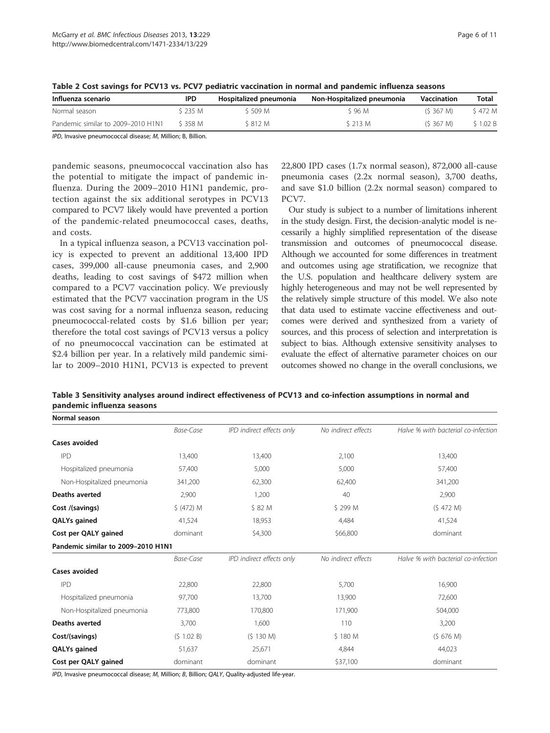| Influenza scenario                 | <b>IPD</b> | Hospitalized pneumonia | Non-Hospitalized pneumonia | Vaccination | Total   |  |
|------------------------------------|------------|------------------------|----------------------------|-------------|---------|--|
| Normal season                      | S 235 M    | S 509 M                | S 96 M                     | (S.367 M)   | \$472 M |  |
| Pandemic similar to 2009–2010 H1N1 | S 358 M    | \$812 M                | S 213 M                    | (S.367 M)   | \$1.02B |  |

Table 2 Cost savings for PCV13 vs. PCV7 pediatric vaccination in normal and pandemic influenza seasons

IPD, Invasive pneumococcal disease; M, Million; B, Billion.

pandemic seasons, pneumococcal vaccination also has the potential to mitigate the impact of pandemic influenza. During the 2009–2010 H1N1 pandemic, protection against the six additional serotypes in PCV13 compared to PCV7 likely would have prevented a portion of the pandemic-related pneumococcal cases, deaths, and costs.

In a typical influenza season, a PCV13 vaccination policy is expected to prevent an additional 13,400 IPD cases, 399,000 all-cause pneumonia cases, and 2,900 deaths, leading to cost savings of \$472 million when compared to a PCV7 vaccination policy. We previously estimated that the PCV7 vaccination program in the US was cost saving for a normal influenza season, reducing pneumococcal-related costs by \$1.6 billion per year; therefore the total cost savings of PCV13 versus a policy of no pneumococcal vaccination can be estimated at \$2.4 billion per year. In a relatively mild pandemic similar to 2009–2010 H1N1, PCV13 is expected to prevent 22,800 IPD cases (1.7x normal season), 872,000 all-cause pneumonia cases (2.2x normal season), 3,700 deaths, and save \$1.0 billion (2.2x normal season) compared to PCV7.

Our study is subject to a number of limitations inherent in the study design. First, the decision-analytic model is necessarily a highly simplified representation of the disease transmission and outcomes of pneumococcal disease. Although we accounted for some differences in treatment and outcomes using age stratification, we recognize that the U.S. population and healthcare delivery system are highly heterogeneous and may not be well represented by the relatively simple structure of this model. We also note that data used to estimate vaccine effectiveness and outcomes were derived and synthesized from a variety of sources, and this process of selection and interpretation is subject to bias. Although extensive sensitivity analyses to evaluate the effect of alternative parameter choices on our outcomes showed no change in the overall conclusions, we

Table 3 Sensitivity analyses around indirect effectiveness of PCV13 and co-infection assumptions in normal and pandemic influenza seasons

| Normal season                      |            |                           |                     |                                     |  |  |
|------------------------------------|------------|---------------------------|---------------------|-------------------------------------|--|--|
|                                    | Base-Case  | IPD indirect effects only | No indirect effects | Halve % with bacterial co-infection |  |  |
| Cases avoided                      |            |                           |                     |                                     |  |  |
| <b>IPD</b>                         | 13,400     | 13,400                    | 2,100               | 13,400                              |  |  |
| Hospitalized pneumonia             | 57,400     | 5,000                     | 5,000               | 57,400                              |  |  |
| Non-Hospitalized pneumonia         | 341,200    | 62,300                    | 62,400              | 341,200                             |  |  |
| Deaths averted                     | 2,900      | 1,200                     | 40                  | 2,900                               |  |  |
| Cost /(savings)                    | \$ (472) M | \$ 82 M                   | \$299 M             | (S 472 M)                           |  |  |
| QALYs gained                       | 41,524     | 18,953                    | 4,484               | 41,524                              |  |  |
| Cost per QALY gained               | dominant   | \$4,300                   | \$66,800            | dominant                            |  |  |
| Pandemic similar to 2009-2010 H1N1 |            |                           |                     |                                     |  |  |
|                                    | Base-Case  | IPD indirect effects only | No indirect effects | Halve % with bacterial co-infection |  |  |
| Cases avoided                      |            |                           |                     |                                     |  |  |
| <b>IPD</b>                         | 22,800     | 22,800                    | 5,700               | 16,900                              |  |  |
| Hospitalized pneumonia             | 97,700     | 13,700                    | 13,900              | 72,600                              |  |  |
| Non-Hospitalized pneumonia         | 773,800    | 170,800                   | 171,900             | 504,000                             |  |  |
| Deaths averted                     | 3,700      | 1,600                     | 110                 | 3,200                               |  |  |
| Cost/(savings)                     | (S 1.02 B) | (5 130 M)                 | \$180 M             | (S 676 M)                           |  |  |
| QALYs gained                       | 51,637     | 25,671                    | 4,844               | 44,023                              |  |  |
| Cost per QALY gained               | dominant   | dominant                  | \$37,100            | dominant                            |  |  |

IPD, Invasive pneumococcal disease; M, Million; B, Billion; QALY, Quality-adjusted life-year.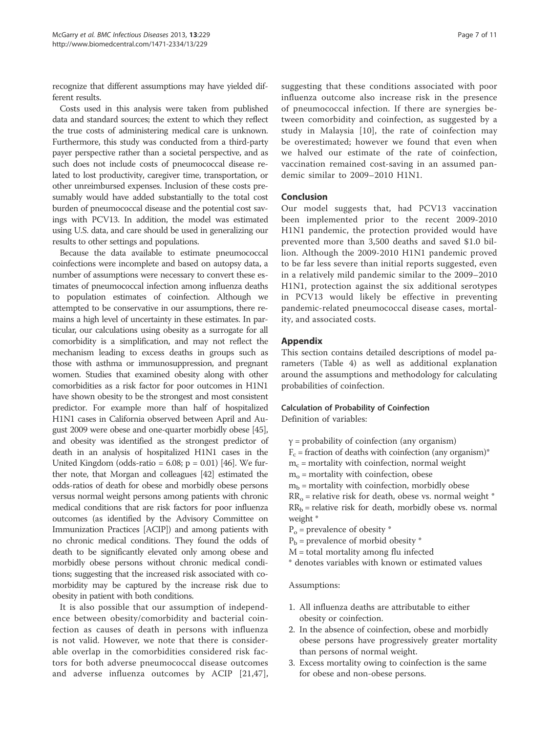recognize that different assumptions may have yielded different results.

Costs used in this analysis were taken from published data and standard sources; the extent to which they reflect the true costs of administering medical care is unknown. Furthermore, this study was conducted from a third-party payer perspective rather than a societal perspective, and as such does not include costs of pneumococcal disease related to lost productivity, caregiver time, transportation, or other unreimbursed expenses. Inclusion of these costs presumably would have added substantially to the total cost burden of pneumococcal disease and the potential cost savings with PCV13. In addition, the model was estimated using U.S. data, and care should be used in generalizing our results to other settings and populations.

Because the data available to estimate pneumococcal coinfections were incomplete and based on autopsy data, a number of assumptions were necessary to convert these estimates of pneumococcal infection among influenza deaths to population estimates of coinfection. Although we attempted to be conservative in our assumptions, there remains a high level of uncertainty in these estimates. In particular, our calculations using obesity as a surrogate for all comorbidity is a simplification, and may not reflect the mechanism leading to excess deaths in groups such as those with asthma or immunosuppression, and pregnant women. Studies that examined obesity along with other comorbidities as a risk factor for poor outcomes in H1N1 have shown obesity to be the strongest and most consistent predictor. For example more than half of hospitalized H1N1 cases in California observed between April and August 2009 were obese and one-quarter morbidly obese [45], and obesity was identified as the strongest predictor of death in an analysis of hospitalized H1N1 cases in the United Kingdom (odds-ratio =  $6.08$ ; p =  $0.01$ ) [46]. We further note, that Morgan and colleagues [42] estimated the odds-ratios of death for obese and morbidly obese persons versus normal weight persons among patients with chronic medical conditions that are risk factors for poor influenza outcomes (as identified by the Advisory Committee on Immunization Practices [ACIP]) and among patients with no chronic medical conditions. They found the odds of death to be significantly elevated only among obese and morbidly obese persons without chronic medical conditions; suggesting that the increased risk associated with comorbidity may be captured by the increase risk due to obesity in patient with both conditions.

It is also possible that our assumption of independence between obesity/comorbidity and bacterial coinfection as causes of death in persons with influenza is not valid. However, we note that there is considerable overlap in the comorbidities considered risk factors for both adverse pneumococcal disease outcomes and adverse influenza outcomes by ACIP [21,47],

suggesting that these conditions associated with poor influenza outcome also increase risk in the presence of pneumococcal infection. If there are synergies between comorbidity and coinfection, as suggested by a study in Malaysia [10], the rate of coinfection may be overestimated; however we found that even when we halved our estimate of the rate of coinfection, vaccination remained cost-saving in an assumed pandemic similar to 2009–2010 H1N1.

## Conclusion

Our model suggests that, had PCV13 vaccination been implemented prior to the recent 2009-2010 H1N1 pandemic, the protection provided would have prevented more than 3,500 deaths and saved \$1.0 billion. Although the 2009-2010 H1N1 pandemic proved to be far less severe than initial reports suggested, even in a relatively mild pandemic similar to the 2009–2010 H1N1, protection against the six additional serotypes in PCV13 would likely be effective in preventing pandemic-related pneumococcal disease cases, mortality, and associated costs.

## Appendix

This section contains detailed descriptions of model parameters (Table 4) as well as additional explanation around the assumptions and methodology for calculating probabilities of coinfection.

## Calculation of Probability of Coinfection

Definition of variables:

- $y =$  probability of coinfection (any organism)
- $F_c$  = fraction of deaths with coinfection (any organism)\*
- $m_c$  = mortality with coinfection, normal weight
- $m<sub>o</sub>$  = mortality with coinfection, obese
- $m_b$  = mortality with coinfection, morbidly obese
- $RR<sub>o</sub>$  = relative risk for death, obese vs. normal weight \*  $RR_b$  = relative risk for death, morbidly obese vs. normal weight \*
- $P_{o}$  = prevalence of obesity  $*$
- $P_b$  = prevalence of morbid obesity  $*$
- M = total mortality among flu infected
- \* denotes variables with known or estimated values

#### Assumptions:

- 1. All influenza deaths are attributable to either obesity or coinfection.
- 2. In the absence of coinfection, obese and morbidly obese persons have progressively greater mortality than persons of normal weight.
- 3. Excess mortality owing to coinfection is the same for obese and non-obese persons.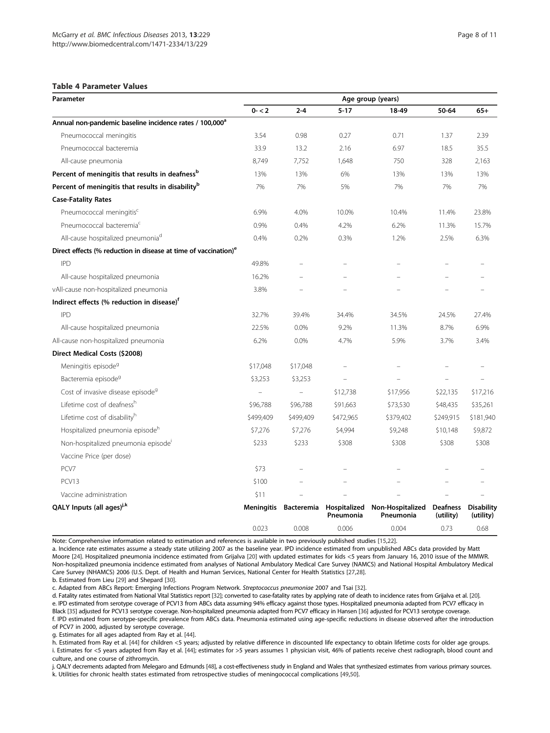## Table 4 Parameter Values

| Parameter                                                                   | Age group (years) |                   |                           |                               |                              |                                |  |  |
|-----------------------------------------------------------------------------|-------------------|-------------------|---------------------------|-------------------------------|------------------------------|--------------------------------|--|--|
|                                                                             | $0 - 2$           | $2 - 4$           | $5 - 17$                  | 18-49                         | 50-64                        | $65+$                          |  |  |
| Annual non-pandemic baseline incidence rates / 100,000 <sup>a</sup>         |                   |                   |                           |                               |                              |                                |  |  |
| Pneumococcal meningitis                                                     | 3.54              | 0.98              | 0.27                      | 0.71                          | 1.37                         | 2.39                           |  |  |
| Pneumococcal bacteremia                                                     | 33.9              | 13.2              | 2.16                      | 6.97                          | 18.5                         | 35.5                           |  |  |
| All-cause pneumonia                                                         | 8,749             | 7,752             | 1,648                     | 750                           | 328                          | 2,163                          |  |  |
| Percent of meningitis that results in deafness <sup>p</sup>                 | 13%               | 13%               | 6%                        | 13%                           | 13%                          | 13%                            |  |  |
| Percent of meningitis that results in disability <sup>b</sup>               | 7%                | 7%                | 5%                        | 7%                            | 7%                           | 7%                             |  |  |
| <b>Case-Fatality Rates</b>                                                  |                   |                   |                           |                               |                              |                                |  |  |
| Pneumococcal meningitis <sup>c</sup>                                        | 6.9%              | 4.0%              | 10.0%                     | 10.4%                         | 11.4%                        | 23.8%                          |  |  |
| Pneumococcal bacteremia <sup>c</sup>                                        | 0.9%              | 0.4%              | 4.2%                      | 6.2%                          | 11.3%                        | 15.7%                          |  |  |
| All-cause hospitalized pneumonia <sup>d</sup>                               | 0.4%              | 0.2%              | 0.3%                      | 1.2%                          | 2.5%                         | 6.3%                           |  |  |
| Direct effects (% reduction in disease at time of vaccination) <sup>e</sup> |                   |                   |                           |                               |                              |                                |  |  |
| <b>IPD</b>                                                                  | 49.8%             |                   |                           |                               |                              |                                |  |  |
| All-cause hospitalized pneumonia                                            | 16.2%             |                   |                           |                               |                              |                                |  |  |
| vAll-cause non-hospitalized pneumonia                                       | 3.8%              |                   |                           |                               |                              |                                |  |  |
| Indirect effects (% reduction in disease) <sup>f</sup>                      |                   |                   |                           |                               |                              |                                |  |  |
| <b>IPD</b>                                                                  | 32.7%             | 39.4%             | 34.4%                     | 34.5%                         | 24.5%                        | 27.4%                          |  |  |
| All-cause hospitalized pneumonia                                            | 22.5%             | 0.0%              | 9.2%                      | 11.3%                         | 8.7%                         | 6.9%                           |  |  |
| All-cause non-hospitalized pneumonia                                        | 6.2%              | 0.0%              | 4.7%                      | 5.9%                          | 3.7%                         | 3.4%                           |  |  |
| Direct Medical Costs (\$2008)                                               |                   |                   |                           |                               |                              |                                |  |  |
| Meningitis episode <sup>9</sup>                                             | \$17,048          | \$17,048          |                           |                               |                              |                                |  |  |
| Bacteremia episode <sup>9</sup>                                             | \$3,253           | \$3,253           |                           |                               |                              |                                |  |  |
| Cost of invasive disease episode <sup>9</sup>                               | $\equiv$          | $\equiv$          | \$12,738                  | \$17,956                      | \$22,135                     | \$17,216                       |  |  |
| Lifetime cost of deafness <sup>h</sup>                                      | \$96,788          | \$96,788          | \$91,663                  | \$73,530                      | \$48,435                     | \$35,261                       |  |  |
| Lifetime cost of disability <sup>h</sup>                                    | \$499,409         | \$499,409         | \$472,965                 | \$379,402                     | \$249,915                    | \$181,940                      |  |  |
| Hospitalized pneumonia episode <sup>h</sup>                                 | \$7,276           | \$7,276           | \$4,994                   | \$9,248                       | \$10,148                     | \$9,872                        |  |  |
| Non-hospitalized pneumonia episode <sup>i</sup>                             | \$233             | \$233             | \$308                     | \$308                         | \$308                        | \$308                          |  |  |
| Vaccine Price (per dose)                                                    |                   |                   |                           |                               |                              |                                |  |  |
| PCV7                                                                        | \$73              |                   |                           |                               |                              |                                |  |  |
| PCV13                                                                       | \$100             |                   |                           |                               |                              |                                |  |  |
| Vaccine administration                                                      | \$11              |                   |                           |                               |                              |                                |  |  |
| QALY Inputs (all ages) <sup>j,k</sup>                                       | <b>Meningitis</b> | <b>Bacteremia</b> | Hospitalized<br>Pneumonia | Non-Hospitalized<br>Pneumonia | <b>Deafness</b><br>(utility) | <b>Disability</b><br>(utility) |  |  |
|                                                                             | 0.023             | 0.008             | 0.006                     | 0.004                         | 0.73                         | 0.68                           |  |  |

Note: Comprehensive information related to estimation and references is available in two previously published studies [15,22].

a. Incidence rate estimates assume a steady state utilizing 2007 as the baseline year. IPD incidence estimated from unpublished ABCs data provided by Matt Moore [24]. Hospitalized pneumonia incidence estimated from Grijalva [20] with updated estimates for kids <5 years from January 16, 2010 issue of the MMWR. Non-hospitalized pneumonia incidence estimated from analyses of National Ambulatory Medical Care Survey (NAMCS) and National Hospital Ambulatory Medical Care Survey (NHAMCS) 2006 (U.S. Dept. of Health and Human Services, National Center for Health Statistics [27,28].

b. Estimated from Lieu [29] and Shepard [30].

c. Adapted from ABCs Report: Emerging Infections Program Network. Streptococcus pneumoniae 2007 and Tsai [32].

d. Fatality rates estimated from National Vital Statistics report [32]; converted to case-fatality rates by applying rate of death to incidence rates from Grijalva et al. [20]. e. IPD estimated from serotype coverage of PCV13 from ABCs data assuming 94% efficacy against those types. Hospitalized pneumonia adapted from PCV7 efficacy in Black [35] adjusted for PCV13 serotype coverage. Non-hospitalized pneumonia adapted from PCV7 efficacy in Hansen [36] adjusted for PCV13 serotype coverage. f. IPD estimated from serotype-specific prevalence from ABCs data. Pneumonia estimated using age-specific reductions in disease observed after the introduction of PCV7 in 2000, adjusted by serotype coverage.

g. Estimates for all ages adapted from Ray et al. [44].

h. Estimated from Ray et al. [44] for children <5 years; adjusted by relative difference in discounted life expectancy to obtain lifetime costs for older age groups. i. Estimates for <5 years adapted from Ray et al. [44]; estimates for >5 years assumes 1 physician visit, 46% of patients receive chest radiograph, blood count and culture, and one course of zithromycin.

j. QALY decrements adapted from Melegaro and Edmunds [48], a cost-effectiveness study in England and Wales that synthesized estimates from various primary sources. k. Utilities for chronic health states estimated from retrospective studies of meningococcal complications [49,50].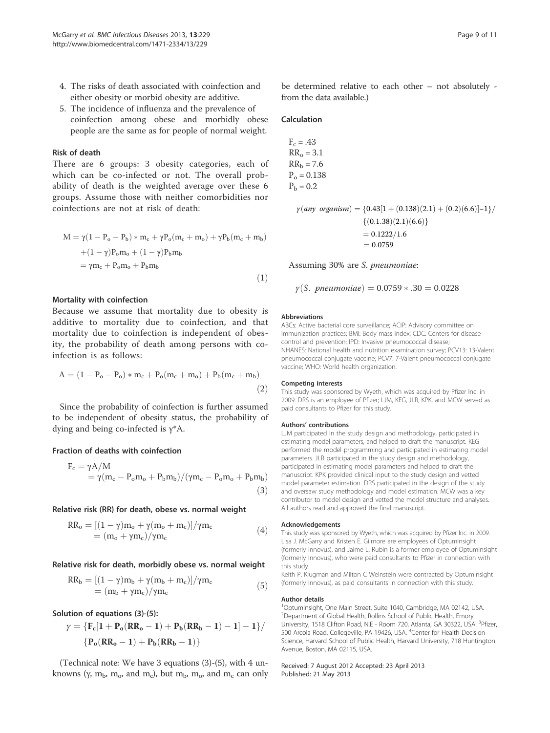- 4. The risks of death associated with coinfection and either obesity or morbid obesity are additive.
- 5. The incidence of influenza and the prevalence of coinfection among obese and morbidly obese people are the same as for people of normal weight.

## Risk of death

There are 6 groups: 3 obesity categories, each of which can be co-infected or not. The overall probability of death is the weighted average over these 6 groups. Assume those with neither comorbidities nor coinfections are not at risk of death:

$$
M = \gamma (1 - P_o - P_b) * m_c + \gamma P_o (m_c + m_o) + \gamma P_b (m_c + m_b)
$$
  
+ 
$$
(1 - \gamma) P_o m_o + (1 - \gamma) P_b m_b
$$
  
= 
$$
\gamma m_c + P_o m_o + P_b m_b
$$
 (1)

## Mortality with coinfection

Because we assume that mortality due to obesity is additive to mortality due to coinfection, and that mortality due to coinfection is independent of obesity, the probability of death among persons with coinfection is as follows:

$$
A = (1 - P_o - P_o) * m_c + P_o(m_c + m_o) + P_b(m_c + m_b)
$$
  
(2)

Since the probability of coinfection is further assumed to be independent of obesity status, the probability of dying and being co-infected is  $\gamma^* A$ .

## Fraction of deaths with coinfection

$$
F_c = \gamma A/M
$$
  
=  $\gamma (m_c - P_o m_o + P_b m_b) / (\gamma m_c - P_o m_o + P_b m_b)$  (3)

#### Relative risk (RR) for death, obese vs. normal weight

$$
RR_o = [(1 - \gamma)m_o + \gamma(m_o + m_c)]/\gamma m_c
$$
  
=  $(m_o + \gamma m_c)/\gamma m_c$  (4)

#### Relative risk for death, morbidly obese vs. normal weight

$$
RR_b = \frac{[(1-\gamma)m_b + \gamma(m_b + m_c)]}{\gamma m_c} = (m_b + \gamma m_c)/\gamma m_c
$$
\n(5)

Solution of equations (3)-(5):

$$
\gamma = \{F_c[1 + P_o(RR_o - 1) + P_b(RR_b - 1) - 1] - 1\}/
$$
  

$$
\{P_o(RR_o - 1) + P_b(RR_b - 1)\}
$$

(Technical note: We have 3 equations (3)-(5), with 4 unknowns ( $\gamma$ ,  $m_b$ ,  $m_o$ , and  $m_c$ ), but  $m_b$ ,  $m_o$ , and  $m_c$  can only be determined relative to each other – not absolutely from the data available.)

## Calculation

$$
F_c = .43
$$
  
RR<sub>o</sub> = 3.1  
RR<sub>b</sub> = 7.6  
P<sub>o</sub> = 0.138  
P<sub>b</sub> = 0.2

$$
\gamma(any \text{ organism}) = \{0.43[1 + (0.138)(2.1) + (0.2)(6.6)]-1\} / \{ (0.1.38)(2.1)(6.6) \}
$$

$$
= 0.1222/1.6
$$

$$
= 0.0759
$$

Assuming 30% are S. pneumoniae:

$$
\gamma(S. \text{ \textit{pneumoniae}}) = 0.0759 \times .30 = 0.0228
$$

#### Abbreviations

ABCs: Active bacterial core surveillance; ACIP: Advisory committee on immunization practices; BMI: Body mass index; CDC: Centers for disease control and prevention; IPD: Invasive pneumococcal disease; NHANES: National health and nutrition examination survey; PCV13: 13-Valent pneumococcal conjugate vaccine; PCV7: 7-Valent pneumococcal conjugate vaccine; WHO: World health organization.

#### Competing interests

This study was sponsored by Wyeth, which was acquired by Pfizer Inc. in 2009. DRS is an employee of Pfizer; LJM, KEG, JLR, KPK, and MCW served as paid consultants to Pfizer for this study.

#### Authors' contributions

LJM participated in the study design and methodology, participated in estimating model parameters, and helped to draft the manuscript. KEG performed the model programming and participated in estimating model parameters. JLR participated in the study design and methodology, participated in estimating model parameters and helped to draft the manuscript. KPK provided clinical input to the study design and vetted model parameter estimation. DRS participated in the design of the study and oversaw study methodology and model estimation. MCW was a key contributor to model design and vetted the model structure and analyses. All authors read and approved the final manuscript.

#### Acknowledgements

This study was sponsored by Wyeth, which was acquired by Pfizer Inc. in 2009. Lisa J. McGarry and Kristen E. Gilmore are employees of OptumInsight (formerly Innovus), and Jaime L. Rubin is a former employee of OptumInsight (formerly Innovus), who were paid consultants to Pfizer in connection with this study.

Keith P. Klugman and Milton C Weinstein were contracted by OptumInsight (formerly Innovus), as paid consultants in connection with this study.

#### Author details

1 OptumInsight, One Main Street, Suite 1040, Cambridge, MA 02142, USA. <sup>2</sup>Department of Global Health, Rollins School of Public Health, Emory University, 1518 Clifton Road, N.E - Room 720, Atlanta, GA 30322, USA. <sup>3</sup>Pfizer 500 Arcola Road, Collegeville, PA 19426, USA. <sup>4</sup>Center for Health Decision Science, Harvard School of Public Health, Harvard University, 718 Huntington Avenue, Boston, MA 02115, USA.

#### Received: 7 August 2012 Accepted: 23 April 2013 Published: 21 May 2013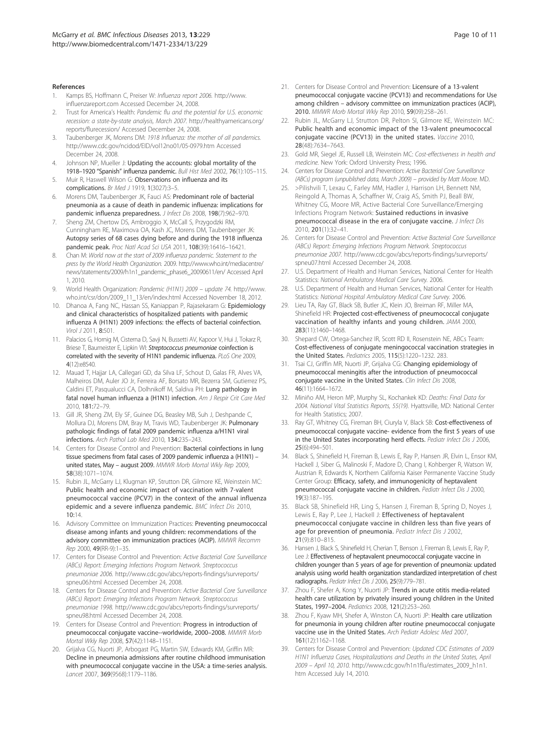#### References

- Kamps BS, Hoffmann C, Preiser W: Influenza report 2006. http://www. influenzareport.com Accessed December 24, 2008.
- 2. Trust for America's Health: Pandemic flu and the potential for U.S. economic recession: a state-by-state analysis, March 2007. http://healthyamericans.org/ reports/flurecession/ Accessed December 24, 2008.
- 3. Taubenberger JK, Morens DM: 1918 Influenza: the mother of all pandemics. http://www.cdc.gov/ncidod/EID/vol12no01/05-0979.htm Accessed December 24, 2008.
- Johnson NP, Mueller J: Updating the accounts: global mortality of the 1918–1920 "Spanish" influenza pandemic. Bull Hist Med 2002, 76(1):105–115.
- Muir R, Haswell Wilson G: Observations on influenza and its complications. Br Med J 1919, 1(3027):3-5.
- 6. Morens DM, Taubenberger JK, Fauci AS: Predominant role of bacterial pneumonia as a cause of death in pandemic influenza: implications for pandemic influenza preparedness. J Infect Dis 2008, 198(7):962-970.
- Sheng ZM, Chertow DS, Ambroggio X, McCall S, Przygodzki RM, Cunningham RE, Maximova OA, Kash JC, Morens DM, Taubenberger JK: Autopsy series of 68 cases dying before and during the 1918 influenza pandemic peak. Proc Natl Acad Sci USA 2011, 108(39):16416–16421.
- 8. Chan M: World now at the start of 2009 influenza pandemic. Statement to the press by the World Health Organization. 2009. http://www.who.int/mediacentre/ news/statements/2009/h1n1\_pandemic\_phase6\_20090611/en/ Accessed April 1, 2010.
- 9. World Health Organization: Pandemic (H1N1) 2009 update 74. http://www. who.int/csr/don/2009\_11\_13/en/index.html Accessed November 18, 2012.
- 10. Dhanoa A, Fang NC, Hassan SS, Kaniappan P, Rajasekaram G: Epidemiology and clinical characteristics of hospitalized patients with pandemic influenza A (H1N1) 2009 infections: the effects of bacterial coinfection. Virol 12011, 8:501.
- 11. Palacios G, Hornig M, Cisterna D, Savji N, Bussetti AV, Kapoor V, Hui J, Tokarz R, Briese T, Baumeister E, Lipkin WI: Streptococcus pneumoniae coinfection is correlated with the severity of H1N1 pandemic influenza. PLoS One 2009, 4(12):e8540.
- 12. Mauad T, Hajjar LA, Callegari GD, da Silva LF, Schout D, Galas FR, Alves VA, Malheiros DM, Auler JO Jr, Ferreira AF, Borsato MR, Bezerra SM, Gutierrez PS, Caldini ET, Pasqualucci CA, Dolhnikoff M, Saldiva PH: Lung pathology in fatal novel human influenza a (H1N1) infection. Am J Respir Crit Care Med 2010, 181:72–79.
- 13. Gill JR, Sheng ZM, Ely SF, Guinee DG, Beasley MB, Suh J, Deshpande C, Mollura DJ, Morens DM, Bray M, Travis WD, Taubenberger JK: Pulmonary pathologic findings of fatal 2009 pandemic influenza a/H1N1 viral infections. Arch Pathol Lab Med 2010, 134:235–243.
- 14. Centers for Disease Control and Prevention: Bacterial coinfections in lung tissue specimens from fatal cases of 2009 pandemic influenza a (H1N1) – united states, May – august 2009. MMWR Morb Mortal Wkly Rep 2009, 58(38):1071–1074.
- 15. Rubin JL, McGarry LJ, Klugman KP, Strutton DR, Gilmore KE, Weinstein MC: Public health and economic impact of vaccination with 7-valent pneumococcal vaccine (PCV7) in the context of the annual influenza epidemic and a severe influenza pandemic. BMC Infect Dis 2010, 10:14.
- 16. Advisory Committee on Immunization Practices: Preventing pneumococcal disease among infants and young children: recommendations of the advisory committee on immunization practices (ACIP). MMWR Recomm Rep 2000, 49(RR-9):1–35.
- 17. Centers for Disease Control and Prevention: Active Bacterial Core Surveillance (ABCs) Report: Emerging Infections Program Network. Streptococcus pneumoniae 2006. http://www.cdc.gov/abcs/reports-findings/survreports/ spneu06.html Accessed December 24, 2008.
- 18. Centers for Disease Control and Prevention: Active Bacterial Core Surveillance (ABCs) Report: Emerging Infections Program Network. Streptococcus pneumoniae 1998. http://www.cdc.gov/abcs/reports-findings/survreports/ spneu98.html Accessed December 24, 2008.
- 19. Centers for Disease Control and Prevention: Progress in introduction of pneumococcal conjugate vaccine--worldwide, 2000–2008. MMWR Morb Mortal Wkly Rep 2008, 57(42):1148–1151.
- 20. Grijalva CG, Nuorti JP, Arbogast PG, Martin SW, Edwards KM, Griffin MR: Decline in pneumonia admissions after routine childhood immunisation with pneumococcal conjugate vaccine in the USA: a time-series analysis. Lancet 2007, 369(9568):1179–1186.
- 21. Centers for Disease Control and Prevention: Licensure of a 13-valent pneumococcal conjugate vaccine (PCV13) and recommendations for Use among children – advisory committee on immunization practices (ACIP), 2010. MMWR Morb Mortal Wkly Rep 2010, 59(09):258–261.
- 22. Rubin JL, McGarry LJ, Strutton DR, Pelton SI, Gilmore KE, Weinstein MC: Public health and economic impact of the 13-valent pneumococcal conjugate vaccine (PCV13) in the united states. Vaccine 2010, 28(48):7634–7643.
- 23. Gold MR, Siegel JE, Russell LB, Weinstein MC: Cost-effectiveness in health and medicine. New York: Oxford University Press; 1996.
- Centers for Disease Control and Prevention: Active Bacterial Core Surveillance (ABCs) program (unpublished data, March 2009) – provided by Matt Moore. MD.
- 25. >Pilishvili T, Lexau C, Farley MM, Hadler J, Harrison LH, Bennett NM, Reingold A, Thomas A, Schaffner W, Craig AS, Smith PJ, Beall BW, Whitney CG, Moore MR, Active Bacterial Core Surveillance/Emerging Infections Program Network: Sustained reductions in invasive pneumococcal disease in the era of conjugate vaccine. J Infect Dis 2010, 201(1):32–41.
- 26. Centers for Disease Control and Prevention: Active Bacterial Core Surveillance (ABCs) Report: Emerging Infections Program Network. Streptococcus pneumoniae 2007. http://www.cdc.gov/abcs/reports-findings/survreports/ spneu07.html Accessed December 24, 2008.
- 27. U.S. Department of Health and Human Services, National Center for Health Statistics: National Ambulatory Medical Care Survey. 2006.
- U.S. Department of Health and Human Services, National Center for Health Statistics: National Hospital Ambulatory Medical Care Survey. 2006.
- 29. Lieu TA, Ray GT, Black SB, Butler JC, Klein JO, Breiman RF, Miller MA, Shinefield HR: Projected cost-effectiveness of pneumococcal conjugate vaccination of healthy infants and young children. JAMA 2000, 283(11):1460–1468.
- 30. Shepard CW, Ortega-Sanchez IR, Scott RD II, Rosenstein NE, ABCs Team: Cost-effectiveness of conjugate meningococcal vaccination strategies in the United States. Pediatrics 2005, 115(5):1220–1232. 283.
- 31. Tsai CJ, Griffin MR, Nuorti JP, Grijalva CG: Changing epidemiology of pneumococcal meningitis after the introduction of pneumococcal conjugate vaccine in the United States. Clin Infect Dis 2008, 46(11):1664–1672.
- 32. Miniño AM, Heron MP, Murphy SL, Kochankek KD: Deaths: Final Data for 2004. National Vital Statistics Reports, 55(19). Hyattsville, MD: National Center for Health Statistics; 2007.
- 33. Ray GT, Whitney CG, Fireman BH, Ciuryla V, Black SB: Cost-effectiveness of pneumococcal conjugate vaccine- evidence from the first 5 years of use in the United States incorporating herd effects. Pediatr Infect Dis J 2006, 25(6):494–501.
- 34. Black S, Shinefield H, Fireman B, Lewis E, Ray P, Hansen JR, Elvin L, Ensor KM, Hackell J, Siber G, Malinoski F, Madore D, Chang I, Kohberger R, Watson W, Austrian R, Edwards K, Northern California Kaiser Permanente Vaccine Study Center Group: Efficacy, safety, and immunogenicity of heptavalent pneumococcal conjugate vaccine in children. Pediatr Infect Dis J 2000, 19(3):187–195.
- 35. Black SB, Shinefield HR, Ling S, Hansen J, Fireman B, Spring D, Noyes J, Lewis E, Ray P, Lee J, Hackell J: Effectiveness of heptavalent pneumococcal conjugate vaccine in children less than five years of age for prevention of pneumonia. Pediatr Infect Dis J 2002, 21(9):810–815.
- 36. Hansen J, Black S, Shinefield H, Cherian T, Benson J, Fireman B, Lewis E, Ray P, Lee J: Effectiveness of heptavalent pneumococcal conjugate vaccine in children younger than 5 years of age for prevention of pneumonia: updated analysis using world health organization standardized interpretation of chest radiographs. Pediatr Infect Dis J 2006, 25(9):779–781.
- 37. Zhou F, Shefer A, Kong Y, Nuorti JP: Trends in acute otitis media-related health care utilization by privately insured young children in the United States, 1997–2004. Pediatrics 2008, 121(2):253–260.
- Zhou F, Kyaw MH, Shefer A, Winston CA, Nuorti JP: Health care utilization for pneumonia in young children after routine pneumococcal conjugate vaccine use in the United States. Arch Pediatr Adolesc Med 2007, 161(12):1162–1168.
- 39. Centers for Disease Control and Prevention: Updated CDC Estimates of 2009 H1N1 Influenza Cases, Hospitalizations and Deaths in the United States, April 2009 – April 10, 2010. http://www.cdc.gov/h1n1flu/estimates\_2009\_h1n1. htm Accessed July 14, 2010.